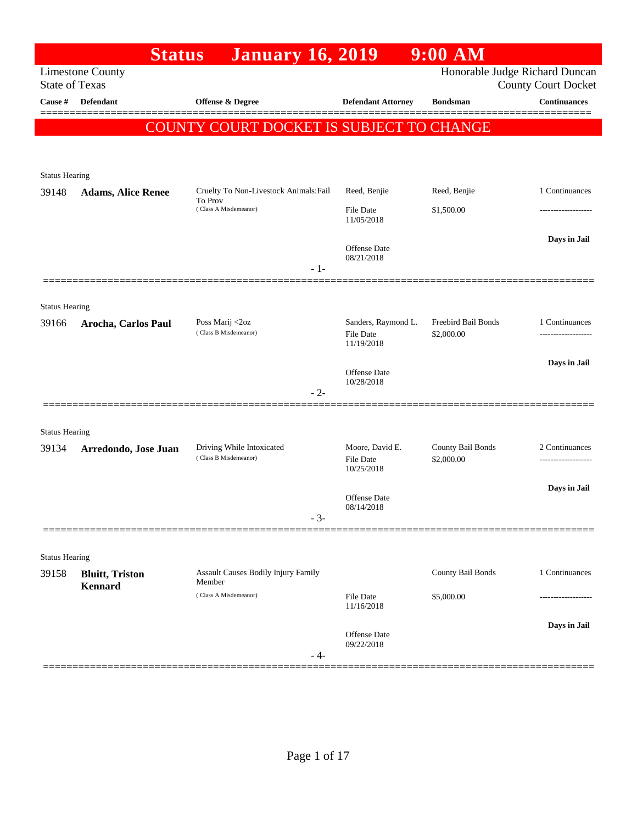| Honorable Judge Richard Duncan<br><b>Limestone County</b><br><b>State of Texas</b><br><b>County Court Docket</b><br>Defendant<br><b>Continuances</b><br>Cause #<br>Offense & Degree<br><b>Defendant Attorney</b><br><b>Bondsman</b><br>COUNTY COURT DOCKET IS SUBJECT TO CHANGE<br><b>Status Hearing</b><br>Reed, Benjie<br>1 Continuances<br>Cruelty To Non-Livestock Animals: Fail<br>Reed, Benjie<br>39148<br><b>Adams, Alice Renee</b><br>To Prov<br>(Class A Misdemeanor)<br><b>File Date</b><br>\$1,500.00<br>-------------------<br>11/05/2018<br>Days in Jail<br><b>Offense Date</b><br>08/21/2018<br>$-1-$<br><b>Status Hearing</b><br>Freebird Bail Bonds<br>Sanders, Raymond L.<br>1 Continuances<br>Poss Marij <2oz<br>39166<br>Arocha, Carlos Paul<br>(Class B Misdemeanor)<br><b>File Date</b><br>\$2,000.00<br>------------------<br>11/19/2018<br>Days in Jail<br>Offense Date<br>10/28/2018<br>$-2-$<br><b>Status Hearing</b><br>Driving While Intoxicated<br>Moore, David E.<br>County Bail Bonds<br>2 Continuances<br>Arredondo, Jose Juan<br>39134<br>(Class B Misdemeanor)<br>\$2,000.00<br>File Date<br>10/25/2018<br>Days in Jail<br>Offense Date<br>08/14/2018<br>$-3-$<br><b>Status Hearing</b><br>County Bail Bonds<br>1 Continuances<br><b>Assault Causes Bodily Injury Family</b><br>39158<br><b>Bluitt</b> , Triston<br>Member<br><b>Kennard</b><br>(Class A Misdemeanor)<br><b>File Date</b><br>\$5,000.00<br>11/16/2018<br>Days in Jail<br>Offense Date<br>09/22/2018<br>- 4- | <b>Status</b> | <b>January 16, 2019</b> | $9:00$ AM |  |
|--------------------------------------------------------------------------------------------------------------------------------------------------------------------------------------------------------------------------------------------------------------------------------------------------------------------------------------------------------------------------------------------------------------------------------------------------------------------------------------------------------------------------------------------------------------------------------------------------------------------------------------------------------------------------------------------------------------------------------------------------------------------------------------------------------------------------------------------------------------------------------------------------------------------------------------------------------------------------------------------------------------------------------------------------------------------------------------------------------------------------------------------------------------------------------------------------------------------------------------------------------------------------------------------------------------------------------------------------------------------------------------------------------------------------------------------------------------------------------------------------------------|---------------|-------------------------|-----------|--|
|                                                                                                                                                                                                                                                                                                                                                                                                                                                                                                                                                                                                                                                                                                                                                                                                                                                                                                                                                                                                                                                                                                                                                                                                                                                                                                                                                                                                                                                                                                              |               |                         |           |  |
|                                                                                                                                                                                                                                                                                                                                                                                                                                                                                                                                                                                                                                                                                                                                                                                                                                                                                                                                                                                                                                                                                                                                                                                                                                                                                                                                                                                                                                                                                                              |               |                         |           |  |
|                                                                                                                                                                                                                                                                                                                                                                                                                                                                                                                                                                                                                                                                                                                                                                                                                                                                                                                                                                                                                                                                                                                                                                                                                                                                                                                                                                                                                                                                                                              |               |                         |           |  |
|                                                                                                                                                                                                                                                                                                                                                                                                                                                                                                                                                                                                                                                                                                                                                                                                                                                                                                                                                                                                                                                                                                                                                                                                                                                                                                                                                                                                                                                                                                              |               |                         |           |  |
|                                                                                                                                                                                                                                                                                                                                                                                                                                                                                                                                                                                                                                                                                                                                                                                                                                                                                                                                                                                                                                                                                                                                                                                                                                                                                                                                                                                                                                                                                                              |               |                         |           |  |
|                                                                                                                                                                                                                                                                                                                                                                                                                                                                                                                                                                                                                                                                                                                                                                                                                                                                                                                                                                                                                                                                                                                                                                                                                                                                                                                                                                                                                                                                                                              |               |                         |           |  |
|                                                                                                                                                                                                                                                                                                                                                                                                                                                                                                                                                                                                                                                                                                                                                                                                                                                                                                                                                                                                                                                                                                                                                                                                                                                                                                                                                                                                                                                                                                              |               |                         |           |  |
|                                                                                                                                                                                                                                                                                                                                                                                                                                                                                                                                                                                                                                                                                                                                                                                                                                                                                                                                                                                                                                                                                                                                                                                                                                                                                                                                                                                                                                                                                                              |               |                         |           |  |
|                                                                                                                                                                                                                                                                                                                                                                                                                                                                                                                                                                                                                                                                                                                                                                                                                                                                                                                                                                                                                                                                                                                                                                                                                                                                                                                                                                                                                                                                                                              |               |                         |           |  |
|                                                                                                                                                                                                                                                                                                                                                                                                                                                                                                                                                                                                                                                                                                                                                                                                                                                                                                                                                                                                                                                                                                                                                                                                                                                                                                                                                                                                                                                                                                              |               |                         |           |  |
|                                                                                                                                                                                                                                                                                                                                                                                                                                                                                                                                                                                                                                                                                                                                                                                                                                                                                                                                                                                                                                                                                                                                                                                                                                                                                                                                                                                                                                                                                                              |               |                         |           |  |
|                                                                                                                                                                                                                                                                                                                                                                                                                                                                                                                                                                                                                                                                                                                                                                                                                                                                                                                                                                                                                                                                                                                                                                                                                                                                                                                                                                                                                                                                                                              |               |                         |           |  |
|                                                                                                                                                                                                                                                                                                                                                                                                                                                                                                                                                                                                                                                                                                                                                                                                                                                                                                                                                                                                                                                                                                                                                                                                                                                                                                                                                                                                                                                                                                              |               |                         |           |  |
|                                                                                                                                                                                                                                                                                                                                                                                                                                                                                                                                                                                                                                                                                                                                                                                                                                                                                                                                                                                                                                                                                                                                                                                                                                                                                                                                                                                                                                                                                                              |               |                         |           |  |
|                                                                                                                                                                                                                                                                                                                                                                                                                                                                                                                                                                                                                                                                                                                                                                                                                                                                                                                                                                                                                                                                                                                                                                                                                                                                                                                                                                                                                                                                                                              |               |                         |           |  |
|                                                                                                                                                                                                                                                                                                                                                                                                                                                                                                                                                                                                                                                                                                                                                                                                                                                                                                                                                                                                                                                                                                                                                                                                                                                                                                                                                                                                                                                                                                              |               |                         |           |  |
|                                                                                                                                                                                                                                                                                                                                                                                                                                                                                                                                                                                                                                                                                                                                                                                                                                                                                                                                                                                                                                                                                                                                                                                                                                                                                                                                                                                                                                                                                                              |               |                         |           |  |
|                                                                                                                                                                                                                                                                                                                                                                                                                                                                                                                                                                                                                                                                                                                                                                                                                                                                                                                                                                                                                                                                                                                                                                                                                                                                                                                                                                                                                                                                                                              |               |                         |           |  |
|                                                                                                                                                                                                                                                                                                                                                                                                                                                                                                                                                                                                                                                                                                                                                                                                                                                                                                                                                                                                                                                                                                                                                                                                                                                                                                                                                                                                                                                                                                              |               |                         |           |  |
|                                                                                                                                                                                                                                                                                                                                                                                                                                                                                                                                                                                                                                                                                                                                                                                                                                                                                                                                                                                                                                                                                                                                                                                                                                                                                                                                                                                                                                                                                                              |               |                         |           |  |
|                                                                                                                                                                                                                                                                                                                                                                                                                                                                                                                                                                                                                                                                                                                                                                                                                                                                                                                                                                                                                                                                                                                                                                                                                                                                                                                                                                                                                                                                                                              |               |                         |           |  |
|                                                                                                                                                                                                                                                                                                                                                                                                                                                                                                                                                                                                                                                                                                                                                                                                                                                                                                                                                                                                                                                                                                                                                                                                                                                                                                                                                                                                                                                                                                              |               |                         |           |  |
|                                                                                                                                                                                                                                                                                                                                                                                                                                                                                                                                                                                                                                                                                                                                                                                                                                                                                                                                                                                                                                                                                                                                                                                                                                                                                                                                                                                                                                                                                                              |               |                         |           |  |
|                                                                                                                                                                                                                                                                                                                                                                                                                                                                                                                                                                                                                                                                                                                                                                                                                                                                                                                                                                                                                                                                                                                                                                                                                                                                                                                                                                                                                                                                                                              |               |                         |           |  |
|                                                                                                                                                                                                                                                                                                                                                                                                                                                                                                                                                                                                                                                                                                                                                                                                                                                                                                                                                                                                                                                                                                                                                                                                                                                                                                                                                                                                                                                                                                              |               |                         |           |  |
|                                                                                                                                                                                                                                                                                                                                                                                                                                                                                                                                                                                                                                                                                                                                                                                                                                                                                                                                                                                                                                                                                                                                                                                                                                                                                                                                                                                                                                                                                                              |               |                         |           |  |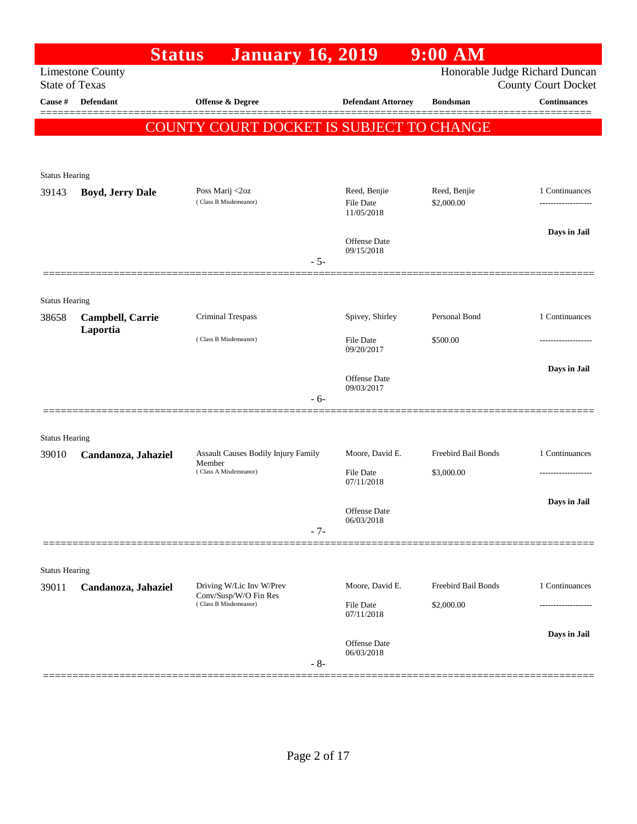|                                | <b>Status</b>           | <b>January 16, 2019</b>                        |                                                | $9:00$ AM                  |                                                              |
|--------------------------------|-------------------------|------------------------------------------------|------------------------------------------------|----------------------------|--------------------------------------------------------------|
| <b>State of Texas</b>          | <b>Limestone County</b> |                                                |                                                |                            | Honorable Judge Richard Duncan<br><b>County Court Docket</b> |
| Cause #                        | <b>Defendant</b>        | <b>Offense &amp; Degree</b>                    | <b>Defendant Attorney</b>                      | <b>Bondsman</b>            | <b>Continuances</b>                                          |
|                                |                         | COUNTY COURT DOCKET IS SUBJECT TO CHANGE       |                                                |                            |                                                              |
|                                |                         |                                                |                                                |                            |                                                              |
| <b>Status Hearing</b>          |                         |                                                |                                                |                            |                                                              |
| 39143                          | <b>Boyd, Jerry Dale</b> | Poss Marij <2oz<br>(Class B Misdemeanor)       | Reed, Benjie<br><b>File Date</b><br>11/05/2018 | Reed, Benjie<br>\$2,000.00 | 1 Continuances                                               |
|                                |                         |                                                | Offense Date<br>09/15/2018                     |                            | Days in Jail                                                 |
|                                |                         | $-5-$                                          |                                                |                            |                                                              |
|                                |                         |                                                |                                                |                            |                                                              |
| <b>Status Hearing</b><br>38658 | Campbell, Carrie        | Criminal Trespass                              | Spivey, Shirley                                | Personal Bond              | 1 Continuances                                               |
|                                | Laportia                | (Class B Misdemeanor)                          | <b>File Date</b><br>09/20/2017                 | \$500.00                   |                                                              |
|                                |                         |                                                |                                                |                            | Days in Jail                                                 |
|                                |                         |                                                | <b>Offense</b> Date<br>09/03/2017              |                            |                                                              |
|                                |                         | $-6-$                                          |                                                |                            |                                                              |
| <b>Status Hearing</b>          |                         |                                                |                                                |                            |                                                              |
| 39010                          | Candanoza, Jahaziel     | Assault Causes Bodily Injury Family<br>Member  | Moore, David E.                                | Freebird Bail Bonds        | 1 Continuances                                               |
|                                |                         | (Class A Misdemeanor)                          | File Date<br>07/11/2018                        | \$3,000.00                 |                                                              |
|                                |                         |                                                | Offense Date<br>06/03/2018                     |                            | Days in Jail                                                 |
|                                |                         | $-7-$                                          |                                                |                            |                                                              |
|                                |                         |                                                |                                                |                            |                                                              |
| <b>Status Hearing</b><br>39011 | Candanoza, Jahaziel     | Driving W/Lic Inv W/Prev                       | Moore, David E.                                | Freebird Bail Bonds        | 1 Continuances                                               |
|                                |                         | Conv/Susp/W/O Fin Res<br>(Class B Misdemeanor) | File Date<br>07/11/2018                        | \$2,000.00                 | .                                                            |
|                                |                         | $-8-$                                          | Offense Date<br>06/03/2018                     |                            | Days in Jail                                                 |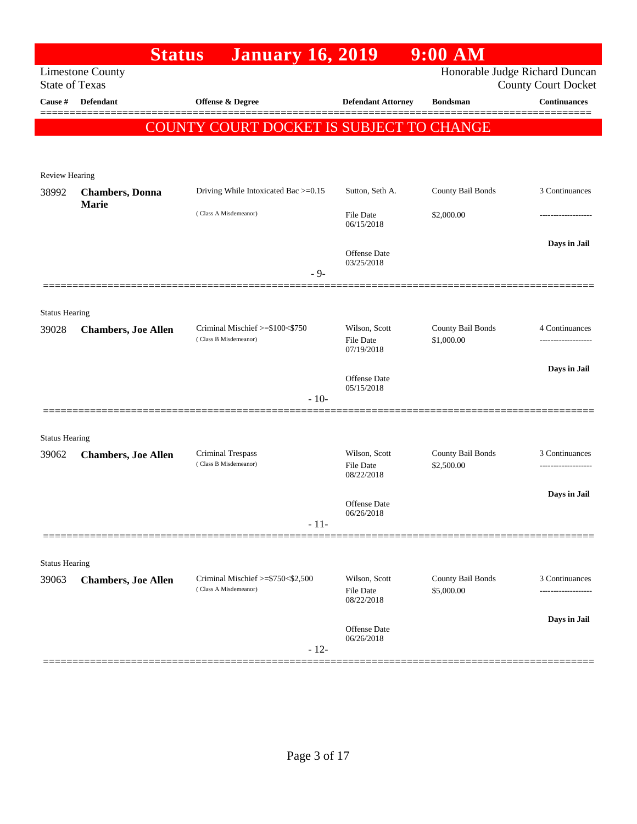|                       | <b>Status</b>              | <b>January 16, 2019</b>                                    |                                                 | $9:00$ AM                       |                                                              |
|-----------------------|----------------------------|------------------------------------------------------------|-------------------------------------------------|---------------------------------|--------------------------------------------------------------|
| <b>State of Texas</b> | <b>Limestone County</b>    |                                                            |                                                 |                                 | Honorable Judge Richard Duncan<br><b>County Court Docket</b> |
| Cause #               | <b>Defendant</b>           | <b>Offense &amp; Degree</b>                                | <b>Defendant Attorney</b>                       | <b>Bondsman</b>                 | <b>Continuances</b>                                          |
|                       |                            |                                                            |                                                 |                                 |                                                              |
|                       |                            | COUNTY COURT DOCKET IS SUBJECT TO CHANGE                   |                                                 |                                 |                                                              |
|                       |                            |                                                            |                                                 |                                 |                                                              |
| Review Hearing        |                            |                                                            |                                                 |                                 |                                                              |
| 38992                 | <b>Chambers</b> , Donna    | Driving While Intoxicated Bac >=0.15                       | Sutton, Seth A.                                 | County Bail Bonds               | 3 Continuances                                               |
|                       | Marie                      | (Class A Misdemeanor)                                      | File Date<br>06/15/2018                         | \$2,000.00                      |                                                              |
|                       |                            |                                                            | <b>Offense Date</b><br>03/25/2018               |                                 | Days in Jail                                                 |
|                       |                            | $-9-$                                                      |                                                 |                                 |                                                              |
|                       |                            |                                                            |                                                 |                                 |                                                              |
| <b>Status Hearing</b> |                            |                                                            |                                                 |                                 |                                                              |
| 39028                 | <b>Chambers, Joe Allen</b> | Criminal Mischief >=\$100<\$750<br>(Class B Misdemeanor)   | Wilson, Scott<br><b>File Date</b><br>07/19/2018 | County Bail Bonds<br>\$1,000.00 | 4 Continuances                                               |
|                       |                            |                                                            |                                                 |                                 | Days in Jail                                                 |
|                       |                            |                                                            | <b>Offense Date</b><br>05/15/2018               |                                 |                                                              |
|                       |                            | $-10-$                                                     |                                                 |                                 |                                                              |
|                       |                            |                                                            |                                                 |                                 |                                                              |
| <b>Status Hearing</b> |                            |                                                            |                                                 |                                 | 3 Continuances                                               |
| 39062                 | <b>Chambers, Joe Allen</b> | Criminal Trespass<br>(Class B Misdemeanor)                 | Wilson, Scott<br><b>File Date</b><br>08/22/2018 | County Bail Bonds<br>\$2,500.00 |                                                              |
|                       |                            |                                                            | <b>Offense Date</b>                             |                                 | Days in Jail                                                 |
|                       |                            | $-11-$                                                     | 06/26/2018                                      |                                 |                                                              |
|                       |                            |                                                            |                                                 |                                 |                                                              |
| <b>Status Hearing</b> |                            |                                                            |                                                 |                                 |                                                              |
| 39063                 | <b>Chambers, Joe Allen</b> | Criminal Mischief >=\$750<\$2,500<br>(Class A Misdemeanor) | Wilson, Scott<br><b>File Date</b><br>08/22/2018 | County Bail Bonds<br>\$5,000.00 | 3 Continuances<br>--------------                             |
|                       |                            |                                                            |                                                 |                                 | Days in Jail                                                 |
|                       |                            | $-12-$                                                     | <b>Offense Date</b><br>06/26/2018               |                                 |                                                              |
|                       |                            |                                                            |                                                 |                                 |                                                              |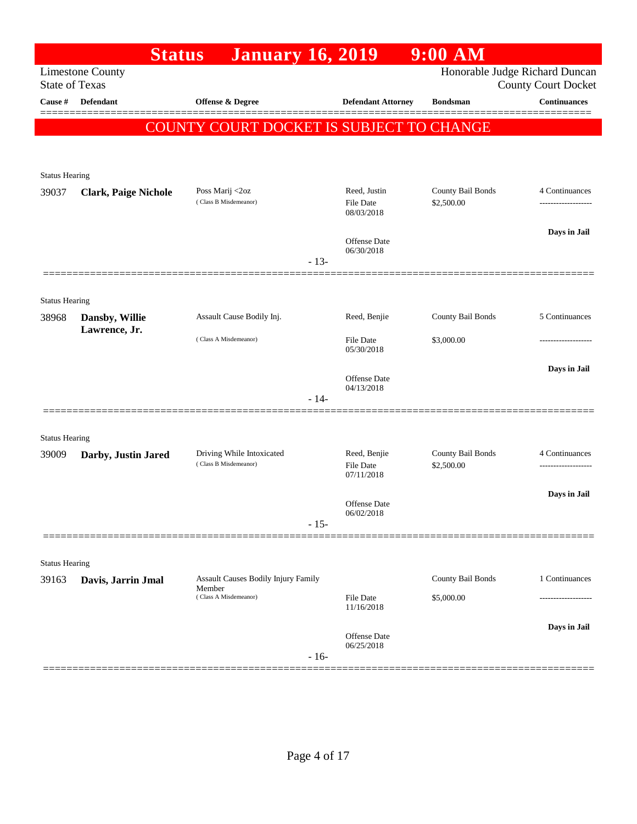|                       | <b>Status</b>               | <b>January 16, 2019</b>                                                       |                                                | $9:00$ AM                       |                                                              |
|-----------------------|-----------------------------|-------------------------------------------------------------------------------|------------------------------------------------|---------------------------------|--------------------------------------------------------------|
| <b>State of Texas</b> | <b>Limestone County</b>     |                                                                               |                                                |                                 | Honorable Judge Richard Duncan<br><b>County Court Docket</b> |
| <b>Cause</b> #        | Defendant                   | Offense & Degree                                                              | <b>Defendant Attorney</b>                      | <b>Bondsman</b>                 | <b>Continuances</b>                                          |
|                       |                             | COUNTY COURT DOCKET IS SUBJECT TO CHANGE                                      |                                                |                                 |                                                              |
| <b>Status Hearing</b> |                             |                                                                               |                                                |                                 |                                                              |
| 39037                 | <b>Clark, Paige Nichole</b> | Poss Marij <2oz<br>(Class B Misdemeanor)                                      | Reed, Justin<br>File Date<br>08/03/2018        | County Bail Bonds<br>\$2,500.00 | 4 Continuances                                               |
|                       |                             | $-13-$                                                                        | <b>Offense Date</b><br>06/30/2018              |                                 | Days in Jail                                                 |
|                       |                             |                                                                               |                                                |                                 |                                                              |
| <b>Status Hearing</b> |                             |                                                                               |                                                |                                 |                                                              |
| 38968                 | Dansby, Willie              | Assault Cause Bodily Inj.                                                     | Reed, Benjie                                   | County Bail Bonds               | 5 Continuances                                               |
|                       | Lawrence, Jr.               | (Class A Misdemeanor)                                                         | <b>File Date</b><br>05/30/2018                 | \$3,000.00                      |                                                              |
|                       |                             |                                                                               | Offense Date<br>04/13/2018                     |                                 | Days in Jail                                                 |
|                       |                             | $-14-$                                                                        |                                                |                                 |                                                              |
| <b>Status Hearing</b> |                             |                                                                               |                                                |                                 |                                                              |
| 39009                 | Darby, Justin Jared         | Driving While Intoxicated<br>(Class B Misdemeanor)                            | Reed, Benjie<br><b>File Date</b><br>07/11/2018 | County Bail Bonds<br>\$2,500.00 | 4 Continuances                                               |
|                       |                             | $-15-$                                                                        | <b>Offense Date</b><br>06/02/2018              |                                 | Days in Jail                                                 |
|                       |                             |                                                                               |                                                |                                 |                                                              |
| <b>Status Hearing</b> |                             |                                                                               |                                                |                                 |                                                              |
| 39163                 | Davis, Jarrin Jmal          | <b>Assault Causes Bodily Injury Family</b><br>Member<br>(Class A Misdemeanor) | File Date                                      | County Bail Bonds<br>\$5,000.00 | 1 Continuances                                               |
|                       |                             |                                                                               | 11/16/2018                                     |                                 |                                                              |
|                       |                             | $-16-$                                                                        | Offense Date<br>06/25/2018                     |                                 | Days in Jail                                                 |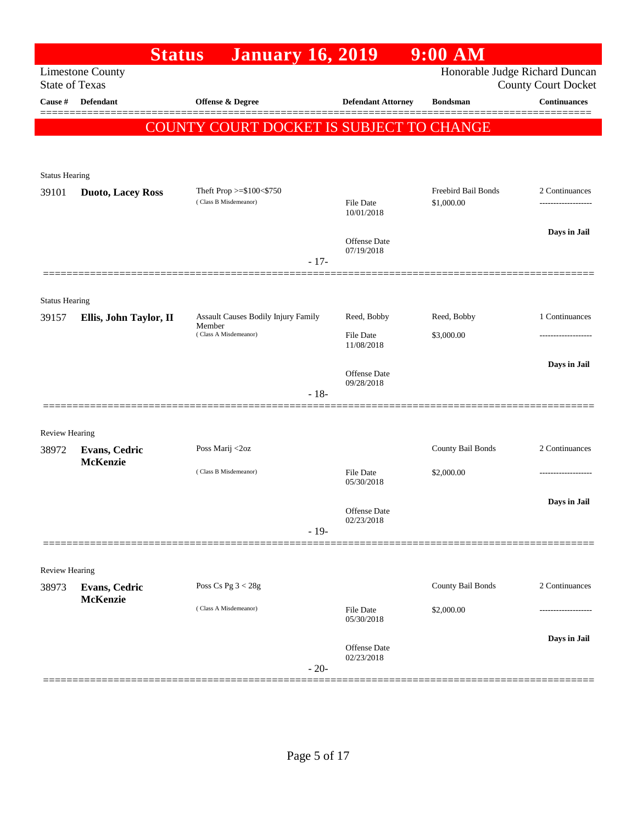|                                | <b>Status</b>            | <b>January 16, 2019</b>                           |                                | $9:00$ AM                         |                            |
|--------------------------------|--------------------------|---------------------------------------------------|--------------------------------|-----------------------------------|----------------------------|
| <b>State of Texas</b>          | <b>Limestone County</b>  |                                                   |                                | Honorable Judge Richard Duncan    | <b>County Court Docket</b> |
| Cause #                        | <b>Defendant</b>         | Offense & Degree                                  | <b>Defendant Attorney</b>      | <b>Bondsman</b>                   | <b>Continuances</b>        |
|                                |                          | COUNTY COURT DOCKET IS SUBJECT TO CHANGE          |                                |                                   |                            |
|                                |                          |                                                   |                                |                                   |                            |
|                                |                          |                                                   |                                |                                   |                            |
| <b>Status Hearing</b>          |                          |                                                   |                                |                                   |                            |
| 39101                          | <b>Duoto, Lacey Ross</b> | Theft Prop >=\$100<\$750<br>(Class B Misdemeanor) | <b>File Date</b><br>10/01/2018 | Freebird Bail Bonds<br>\$1,000.00 | 2 Continuances             |
|                                |                          |                                                   | Offense Date                   |                                   | Days in Jail               |
|                                |                          | $-17-$                                            | 07/19/2018                     |                                   |                            |
|                                |                          |                                                   |                                |                                   |                            |
| <b>Status Hearing</b>          |                          |                                                   |                                |                                   |                            |
| 39157                          | Ellis, John Taylor, II   | Assault Causes Bodily Injury Family<br>Member     | Reed, Bobby                    | Reed, Bobby                       | 1 Continuances             |
|                                |                          | (Class A Misdemeanor)                             | <b>File Date</b><br>11/08/2018 | \$3,000.00                        |                            |
|                                |                          |                                                   |                                |                                   | Days in Jail               |
|                                |                          |                                                   | Offense Date<br>09/28/2018     |                                   |                            |
|                                |                          | $-18-$                                            |                                |                                   |                            |
|                                |                          |                                                   |                                |                                   |                            |
| <b>Review Hearing</b><br>38972 | <b>Evans, Cedric</b>     | Poss Marij <2oz                                   |                                | County Bail Bonds                 | 2 Continuances             |
|                                | <b>McKenzie</b>          |                                                   |                                |                                   |                            |
|                                |                          | (Class B Misdemeanor)                             | <b>File Date</b><br>05/30/2018 | \$2,000.00                        |                            |
|                                |                          |                                                   |                                |                                   | Days in Jail               |
|                                |                          |                                                   | Offense Date<br>02/23/2018     |                                   |                            |
|                                |                          | $-19-$                                            |                                |                                   |                            |
| <b>Review Hearing</b>          |                          |                                                   |                                |                                   |                            |
| 38973                          | <b>Evans, Cedric</b>     | Poss Cs Pg $3 < 28g$                              |                                | County Bail Bonds                 | 2 Continuances             |
|                                | <b>McKenzie</b>          |                                                   |                                |                                   |                            |
|                                |                          | (Class A Misdemeanor)                             | File Date<br>05/30/2018        | \$2,000.00                        |                            |
|                                |                          |                                                   |                                |                                   | Days in Jail               |
|                                |                          |                                                   | Offense Date<br>02/23/2018     |                                   |                            |
|                                |                          | $-20-$                                            |                                |                                   |                            |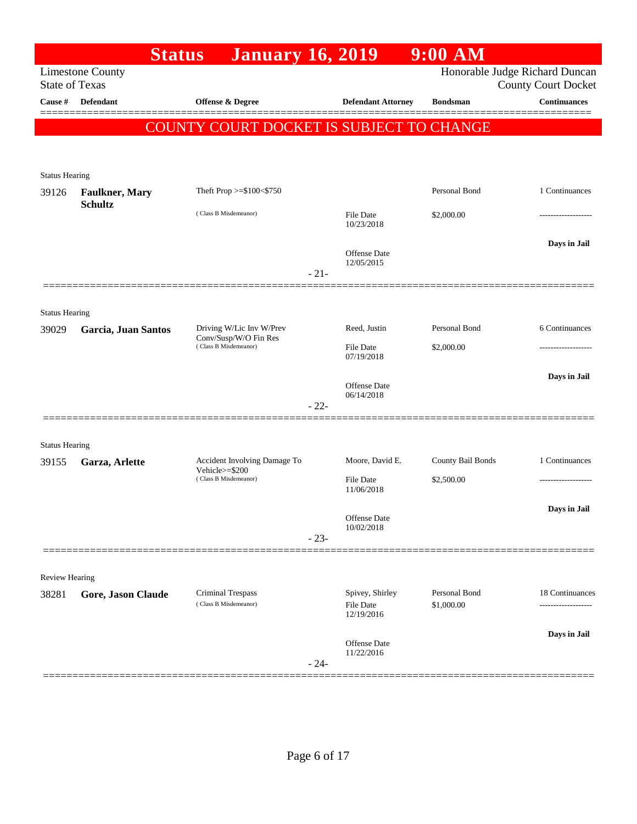|                       |                         | <b>January 16, 2019</b><br><b>Status</b>       |        |                                            | $9:00$ AM                   |                                                              |
|-----------------------|-------------------------|------------------------------------------------|--------|--------------------------------------------|-----------------------------|--------------------------------------------------------------|
| <b>State of Texas</b> | <b>Limestone County</b> |                                                |        |                                            |                             | Honorable Judge Richard Duncan<br><b>County Court Docket</b> |
| Cause #               | Defendant               | <b>Offense &amp; Degree</b>                    |        | <b>Defendant Attorney</b>                  | <b>Bondsman</b>             | <b>Continuances</b>                                          |
|                       |                         | COUNTY COURT DOCKET IS SUBJECT TO CHANGE       |        |                                            |                             |                                                              |
| <b>Status Hearing</b> |                         |                                                |        |                                            |                             |                                                              |
| 39126                 | <b>Faulkner</b> , Mary  | Theft Prop $>= $100 < $750$                    |        |                                            | Personal Bond               | 1 Continuances                                               |
|                       | <b>Schultz</b>          | (Class B Misdemeanor)                          |        | File Date<br>10/23/2018                    | \$2,000.00                  |                                                              |
|                       |                         |                                                | $-21-$ | Offense Date<br>12/05/2015                 |                             | Days in Jail                                                 |
| <b>Status Hearing</b> |                         |                                                |        |                                            |                             |                                                              |
| 39029                 | Garcia, Juan Santos     | Driving W/Lic Inv W/Prev                       |        | Reed, Justin                               | Personal Bond               | 6 Continuances                                               |
|                       |                         | Conv/Susp/W/O Fin Res<br>(Class B Misdemeanor) |        | File Date<br>07/19/2018                    | \$2,000.00                  |                                                              |
|                       |                         |                                                | $-22-$ | Offense Date<br>06/14/2018                 |                             | Days in Jail                                                 |
| <b>Status Hearing</b> |                         |                                                |        |                                            |                             |                                                              |
| 39155                 | Garza, Arlette          | Accident Involving Damage To                   |        | Moore, David E.                            | County Bail Bonds           | 1 Continuances                                               |
|                       |                         | Vehicle>=\$200<br>(Class B Misdemeanor)        |        | <b>File Date</b><br>11/06/2018             | \$2,500.00                  | ------------------                                           |
|                       |                         |                                                | $-23-$ | Offense Date<br>10/02/2018                 |                             | Days in Jail                                                 |
|                       |                         |                                                |        |                                            |                             |                                                              |
| <b>Review Hearing</b> |                         |                                                |        |                                            |                             |                                                              |
| 38281                 | Gore, Jason Claude      | Criminal Trespass<br>(Class B Misdemeanor)     |        | Spivey, Shirley<br>File Date<br>12/19/2016 | Personal Bond<br>\$1,000.00 | 18 Continuances<br>-----------------                         |
|                       |                         |                                                | $-24-$ | Offense Date<br>11/22/2016                 |                             | Days in Jail                                                 |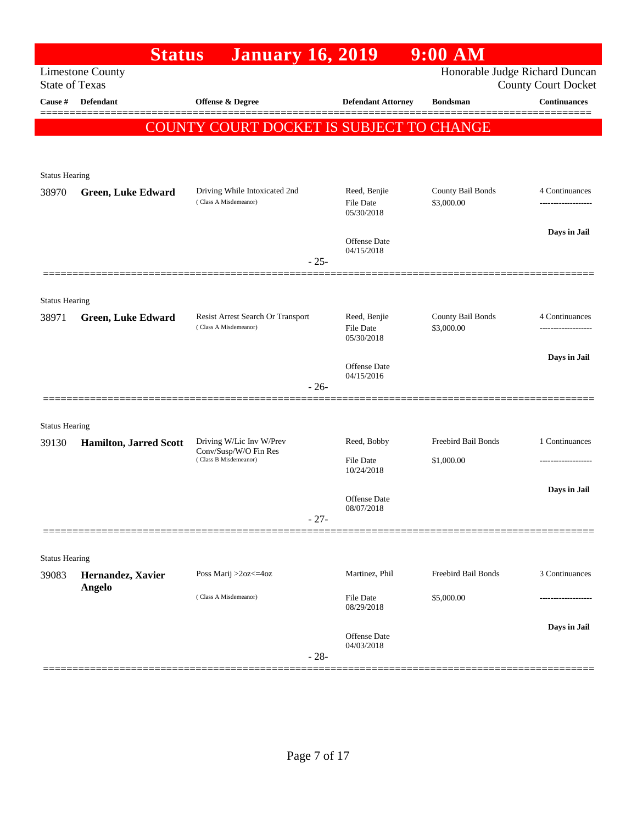|                       | <b>Status</b>                      | <b>January 16, 2019</b>                                |        |                                   | $9:00$ AM                       |                                                   |
|-----------------------|------------------------------------|--------------------------------------------------------|--------|-----------------------------------|---------------------------------|---------------------------------------------------|
| <b>State of Texas</b> | <b>Limestone County</b>            |                                                        |        |                                   | Honorable Judge Richard Duncan  |                                                   |
| Cause #               | <b>Defendant</b>                   | <b>Offense &amp; Degree</b>                            |        | <b>Defendant Attorney</b>         | <b>Bondsman</b>                 | <b>County Court Docket</b><br><b>Continuances</b> |
|                       |                                    |                                                        |        |                                   |                                 |                                                   |
|                       |                                    | COUNTY COURT DOCKET IS SUBJECT TO CHANGE               |        |                                   |                                 |                                                   |
|                       |                                    |                                                        |        |                                   |                                 |                                                   |
| <b>Status Hearing</b> |                                    |                                                        |        |                                   |                                 |                                                   |
| 38970                 | <b>Green, Luke Edward</b>          | Driving While Intoxicated 2nd<br>(Class A Misdemeanor) |        | Reed, Benjie<br>File Date         | County Bail Bonds<br>\$3,000.00 | 4 Continuances<br>-------------------             |
|                       |                                    |                                                        |        | 05/30/2018                        |                                 |                                                   |
|                       |                                    |                                                        |        | <b>Offense Date</b>               |                                 | Days in Jail                                      |
|                       |                                    |                                                        | $-25-$ | 04/15/2018                        |                                 |                                                   |
|                       |                                    |                                                        |        |                                   |                                 |                                                   |
| <b>Status Hearing</b> |                                    |                                                        |        |                                   |                                 |                                                   |
| 38971                 | <b>Green, Luke Edward</b>          | Resist Arrest Search Or Transport                      |        | Reed, Benjie                      | County Bail Bonds               | 4 Continuances                                    |
|                       |                                    | (Class A Misdemeanor)                                  |        | File Date<br>05/30/2018           | \$3,000.00                      | ----------------                                  |
|                       |                                    |                                                        |        |                                   |                                 | Days in Jail                                      |
|                       |                                    |                                                        |        | Offense Date<br>04/15/2016        |                                 |                                                   |
|                       |                                    |                                                        | $-26-$ |                                   |                                 |                                                   |
| <b>Status Hearing</b> |                                    |                                                        |        |                                   |                                 |                                                   |
| 39130                 | <b>Hamilton, Jarred Scott</b>      | Driving W/Lic Inv W/Prev                               |        | Reed, Bobby                       | Freebird Bail Bonds             | 1 Continuances                                    |
|                       |                                    | Conv/Susp/W/O Fin Res<br>(Class B Misdemeanor)         |        | <b>File Date</b>                  | \$1,000.00                      | -------------------                               |
|                       |                                    |                                                        |        | 10/24/2018                        |                                 |                                                   |
|                       |                                    |                                                        |        | Offense Date                      |                                 | Days in Jail                                      |
|                       |                                    |                                                        | $-27-$ | 08/07/2018                        |                                 |                                                   |
|                       |                                    |                                                        |        |                                   |                                 |                                                   |
| <b>Status Hearing</b> |                                    |                                                        |        |                                   |                                 |                                                   |
| 39083                 | Hernandez, Xavier<br><b>Angelo</b> | Poss Marij >2oz<=4oz                                   |        | Martinez, Phil                    | Freebird Bail Bonds             | 3 Continuances                                    |
|                       |                                    | (Class A Misdemeanor)                                  |        | <b>File Date</b><br>08/29/2018    | \$5,000.00                      | .                                                 |
|                       |                                    |                                                        |        |                                   |                                 | Days in Jail                                      |
|                       |                                    |                                                        |        | <b>Offense Date</b><br>04/03/2018 |                                 |                                                   |
|                       |                                    |                                                        | $-28-$ |                                   |                                 |                                                   |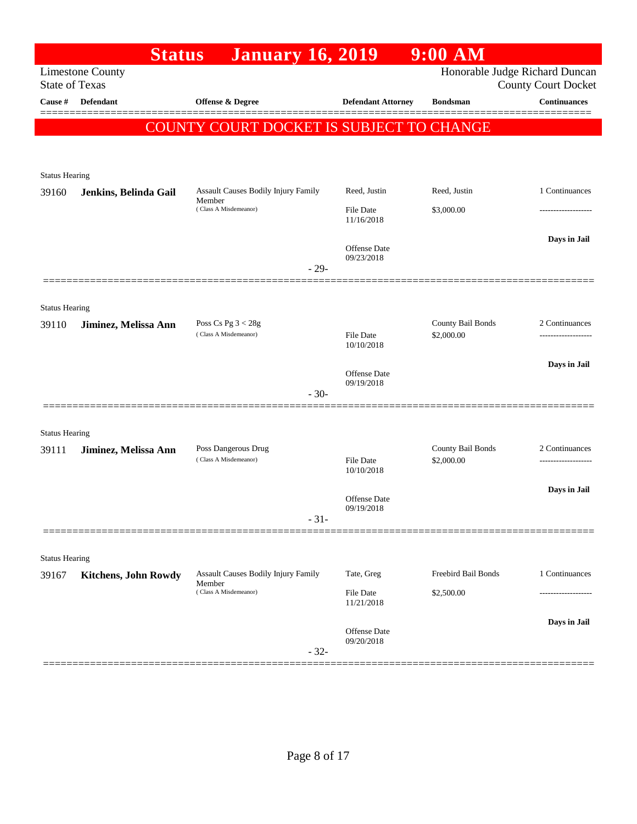|                                | <b>Status</b>               | <b>January 16, 2019</b>                       |                                   | $9:00$ AM                       |                            |
|--------------------------------|-----------------------------|-----------------------------------------------|-----------------------------------|---------------------------------|----------------------------|
| <b>State of Texas</b>          | <b>Limestone County</b>     |                                               |                                   | Honorable Judge Richard Duncan  | <b>County Court Docket</b> |
| Cause #                        | Defendant                   | Offense & Degree                              | <b>Defendant Attorney</b>         | <b>Bondsman</b>                 | <b>Continuances</b>        |
|                                |                             | COUNTY COURT DOCKET IS SUBJECT TO CHANGE      |                                   |                                 |                            |
|                                |                             |                                               |                                   |                                 |                            |
|                                |                             |                                               |                                   |                                 |                            |
| <b>Status Hearing</b><br>39160 | Jenkins, Belinda Gail       | <b>Assault Causes Bodily Injury Family</b>    | Reed, Justin                      | Reed, Justin                    | 1 Continuances             |
|                                |                             | Member<br>(Class A Misdemeanor)               | File Date<br>11/16/2018           | \$3,000.00                      | -------------------        |
|                                |                             |                                               |                                   |                                 | Days in Jail               |
|                                |                             | $-29-$                                        | <b>Offense Date</b><br>09/23/2018 |                                 |                            |
|                                |                             |                                               |                                   |                                 |                            |
| <b>Status Hearing</b>          |                             |                                               |                                   |                                 |                            |
| 39110                          | Jiminez, Melissa Ann        | Poss Cs Pg $3 < 28g$<br>(Class A Misdemeanor) |                                   | County Bail Bonds               | 2 Continuances             |
|                                |                             |                                               | File Date<br>10/10/2018           | \$2,000.00                      |                            |
|                                |                             |                                               | Offense Date                      |                                 | Days in Jail               |
|                                |                             | $-30-$                                        | 09/19/2018                        |                                 |                            |
|                                |                             |                                               |                                   |                                 |                            |
| <b>Status Hearing</b>          |                             |                                               |                                   |                                 |                            |
| 39111                          | Jiminez, Melissa Ann        | Poss Dangerous Drug<br>(Class A Misdemeanor)  | <b>File Date</b><br>10/10/2018    | County Bail Bonds<br>\$2,000.00 | 2 Continuances             |
|                                |                             |                                               | Offense Date                      |                                 | Days in Jail               |
|                                |                             | $-31-$                                        | 09/19/2018                        |                                 |                            |
|                                |                             |                                               |                                   |                                 |                            |
| <b>Status Hearing</b>          |                             |                                               |                                   |                                 |                            |
| 39167                          | <b>Kitchens, John Rowdy</b> | Assault Causes Bodily Injury Family<br>Member | Tate, Greg                        | Freebird Bail Bonds             | 1 Continuances             |
|                                |                             | (Class A Misdemeanor)                         | <b>File Date</b><br>11/21/2018    | \$2,500.00                      |                            |
|                                |                             |                                               | Offense Date                      |                                 | Days in Jail               |
|                                |                             | $-32-$                                        | 09/20/2018                        |                                 |                            |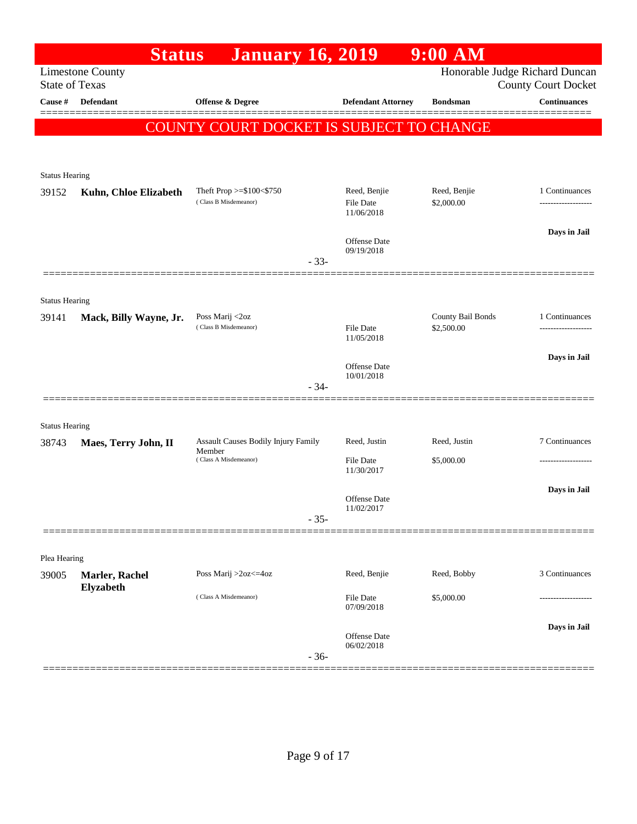|                       | <b>Status</b>           | <b>January 16, 2019</b>                           |        |                                                | $9:00$ AM                      |                            |
|-----------------------|-------------------------|---------------------------------------------------|--------|------------------------------------------------|--------------------------------|----------------------------|
| <b>State of Texas</b> | <b>Limestone County</b> |                                                   |        |                                                | Honorable Judge Richard Duncan | <b>County Court Docket</b> |
| Cause #               | Defendant               | Offense & Degree                                  |        | <b>Defendant Attorney</b>                      | <b>Bondsman</b>                | <b>Continuances</b>        |
|                       |                         | COUNTY COURT DOCKET IS SUBJECT TO CHANGE          |        |                                                |                                |                            |
|                       |                         |                                                   |        |                                                |                                |                            |
|                       |                         |                                                   |        |                                                |                                |                            |
| <b>Status Hearing</b> |                         |                                                   |        |                                                |                                |                            |
| 39152                 | Kuhn, Chloe Elizabeth   | Theft Prop >=\$100<\$750<br>(Class B Misdemeanor) |        | Reed, Benjie<br><b>File Date</b><br>11/06/2018 | Reed, Benjie<br>\$2,000.00     | 1 Continuances<br>.        |
|                       |                         |                                                   |        | Offense Date<br>09/19/2018                     |                                | Days in Jail               |
|                       |                         |                                                   | $-33-$ |                                                |                                |                            |
| <b>Status Hearing</b> |                         |                                                   |        |                                                |                                |                            |
| 39141                 | Mack, Billy Wayne, Jr.  | Poss Marij <2oz                                   |        |                                                | County Bail Bonds              | 1 Continuances             |
|                       |                         | (Class B Misdemeanor)                             |        | <b>File Date</b><br>11/05/2018                 | \$2,500.00                     | ------------------         |
|                       |                         |                                                   |        | Offense Date                                   |                                | Days in Jail               |
|                       |                         |                                                   | $-34-$ | 10/01/2018                                     |                                |                            |
|                       | ==============          |                                                   |        |                                                |                                |                            |
| <b>Status Hearing</b> |                         |                                                   |        |                                                |                                |                            |
| 38743                 | Maes, Terry John, II    | Assault Causes Bodily Injury Family<br>Member     |        | Reed, Justin                                   | Reed, Justin                   | 7 Continuances             |
|                       |                         | (Class A Misdemeanor)                             |        | <b>File Date</b><br>11/30/2017                 | \$5,000.00                     | ---------------            |
|                       |                         |                                                   |        |                                                |                                | Days in Jail               |
|                       |                         |                                                   | $-35-$ | Offense Date<br>11/02/2017                     |                                |                            |
|                       |                         |                                                   |        |                                                |                                |                            |
| Plea Hearing          |                         |                                                   |        |                                                |                                |                            |
| 39005                 | Marler, Rachel          | Poss Marij >2oz<=4oz                              |        | Reed, Benjie                                   | Reed, Bobby                    | 3 Continuances             |
|                       | Elyzabeth               | (Class A Misdemeanor)                             |        | File Date<br>07/09/2018                        | \$5,000.00                     | ---------------            |
|                       |                         |                                                   |        |                                                |                                | Days in Jail               |
|                       |                         |                                                   | $-36-$ | Offense Date<br>06/02/2018                     |                                |                            |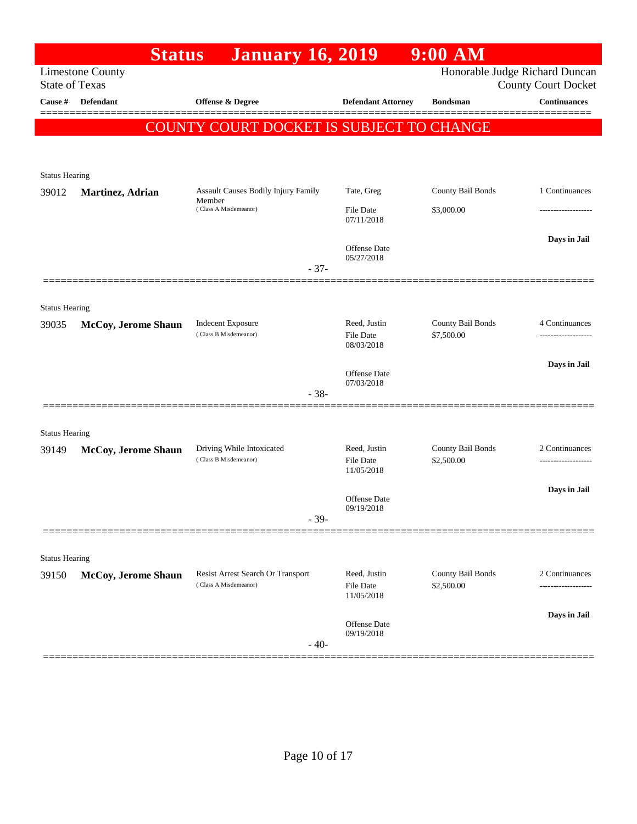|                                                              | $9:00$ AM                |                                   | <b>January 16, 2019</b>                         | <b>Status</b>           |                       |
|--------------------------------------------------------------|--------------------------|-----------------------------------|-------------------------------------------------|-------------------------|-----------------------|
| Honorable Judge Richard Duncan<br><b>County Court Docket</b> |                          |                                   |                                                 | <b>Limestone County</b> | <b>State of Texas</b> |
| <b>Continuances</b>                                          | <b>Bondsman</b>          | <b>Defendant Attorney</b>         | Offense & Degree                                | <b>Defendant</b>        | Cause #               |
|                                                              |                          |                                   | <b>COUNTY COURT DOCKET IS SUBJECT TO CHANGE</b> |                         |                       |
|                                                              |                          |                                   |                                                 |                         |                       |
|                                                              |                          |                                   |                                                 |                         | <b>Status Hearing</b> |
| 1 Continuances                                               | County Bail Bonds        | Tate, Greg                        | Assault Causes Bodily Injury Family             | Martinez, Adrian        | 39012                 |
|                                                              | \$3,000.00               | <b>File Date</b><br>07/11/2018    | Member<br>(Class A Misdemeanor)                 |                         |                       |
| Days in Jail                                                 |                          |                                   |                                                 |                         |                       |
|                                                              |                          | <b>Offense Date</b><br>05/27/2018 |                                                 |                         |                       |
|                                                              |                          |                                   | $-37-$                                          |                         |                       |
|                                                              |                          |                                   |                                                 |                         | <b>Status Hearing</b> |
| 4 Continuances                                               | County Bail Bonds        | Reed, Justin                      | <b>Indecent Exposure</b>                        | McCoy, Jerome Shaun     | 39035                 |
|                                                              | \$7,500.00               | <b>File Date</b><br>08/03/2018    | (Class B Misdemeanor)                           |                         |                       |
| Days in Jail                                                 |                          |                                   |                                                 |                         |                       |
|                                                              |                          | <b>Offense Date</b><br>07/03/2018 |                                                 |                         |                       |
|                                                              |                          |                                   | $-38-$                                          |                         |                       |
|                                                              |                          |                                   |                                                 |                         | <b>Status Hearing</b> |
| 2 Continuances                                               | County Bail Bonds        | Reed, Justin                      | Driving While Intoxicated                       | McCoy, Jerome Shaun     | 39149                 |
|                                                              | \$2,500.00               | <b>File Date</b><br>11/05/2018    | (Class B Misdemeanor)                           |                         |                       |
| Days in Jail                                                 |                          | Offense Date                      |                                                 |                         |                       |
|                                                              |                          | 09/19/2018                        |                                                 |                         |                       |
|                                                              |                          |                                   |                                                 |                         |                       |
|                                                              |                          |                                   |                                                 |                         |                       |
| 2 Continuances                                               | <b>County Bail Bonds</b> | Reed, Justin                      | Resist Arrest Search Or Transport               | McCoy, Jerome Shaun     | 39150                 |
| ----------------                                             |                          | 11/05/2018                        |                                                 |                         |                       |
| Days in Jail                                                 |                          |                                   |                                                 |                         |                       |
|                                                              |                          | 09/19/2018                        | $-40-$                                          |                         |                       |
|                                                              | \$2,500.00               | <b>File Date</b><br>Offense Date  | $-39-$<br>(Class A Misdemeanor)                 |                         | <b>Status Hearing</b> |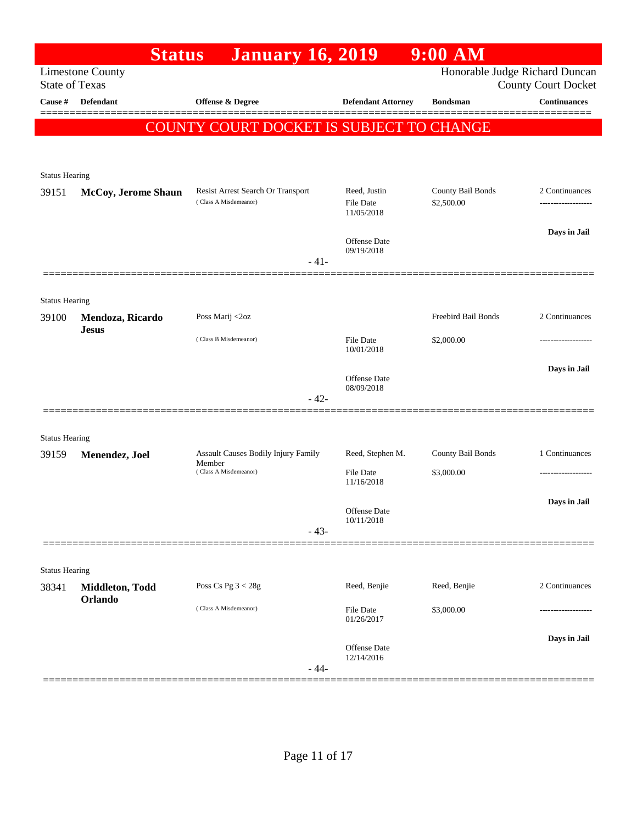|                                | <b>Status</b>                    | <b>January 16, 2019</b>                                    |                                         | $9:00$ AM                       |                                                              |
|--------------------------------|----------------------------------|------------------------------------------------------------|-----------------------------------------|---------------------------------|--------------------------------------------------------------|
| <b>State of Texas</b>          | <b>Limestone County</b>          |                                                            |                                         |                                 | Honorable Judge Richard Duncan<br><b>County Court Docket</b> |
| Cause #                        | <b>Defendant</b>                 | Offense & Degree                                           | <b>Defendant Attorney</b>               | <b>Bondsman</b>                 | <b>Continuances</b>                                          |
|                                |                                  | COUNTY COURT DOCKET IS SUBJECT TO CHANGE                   |                                         |                                 |                                                              |
|                                |                                  |                                                            |                                         |                                 |                                                              |
|                                |                                  |                                                            |                                         |                                 |                                                              |
| <b>Status Hearing</b>          |                                  |                                                            |                                         |                                 |                                                              |
| 39151                          | McCoy, Jerome Shaun              | Resist Arrest Search Or Transport<br>(Class A Misdemeanor) | Reed, Justin<br>File Date<br>11/05/2018 | County Bail Bonds<br>\$2,500.00 | 2 Continuances                                               |
|                                |                                  |                                                            | <b>Offense Date</b><br>09/19/2018       |                                 | Days in Jail                                                 |
|                                |                                  | $-41-$                                                     |                                         |                                 |                                                              |
|                                |                                  |                                                            |                                         |                                 |                                                              |
| <b>Status Hearing</b>          |                                  |                                                            |                                         | Freebird Bail Bonds             | 2 Continuances                                               |
| 39100                          | Mendoza, Ricardo<br><b>Jesus</b> | Poss Marij <2oz                                            |                                         |                                 |                                                              |
|                                |                                  | (Class B Misdemeanor)                                      | <b>File Date</b><br>10/01/2018          | \$2,000.00                      |                                                              |
|                                |                                  |                                                            |                                         |                                 | Days in Jail                                                 |
|                                |                                  |                                                            | <b>Offense Date</b><br>08/09/2018       |                                 |                                                              |
|                                |                                  | $-42-$                                                     |                                         |                                 |                                                              |
|                                |                                  |                                                            |                                         |                                 |                                                              |
| <b>Status Hearing</b><br>39159 | Menendez, Joel                   | Assault Causes Bodily Injury Family                        | Reed, Stephen M.                        | County Bail Bonds               | 1 Continuances                                               |
|                                |                                  | Member<br>(Class A Misdemeanor)                            | <b>File Date</b>                        | \$3,000.00                      |                                                              |
|                                |                                  |                                                            | 11/16/2018                              |                                 |                                                              |
|                                |                                  |                                                            | Offense Date                            |                                 | Days in Jail                                                 |
|                                |                                  | $-43-$                                                     | 10/11/2018                              |                                 |                                                              |
|                                |                                  |                                                            |                                         |                                 |                                                              |
| <b>Status Hearing</b>          |                                  |                                                            |                                         |                                 |                                                              |
| 38341                          | Middleton, Todd                  | Poss Cs Pg $3 < 28g$                                       | Reed, Benjie                            | Reed, Benjie                    | 2 Continuances                                               |
|                                | Orlando                          | (Class A Misdemeanor)                                      | File Date                               | \$3,000.00                      |                                                              |
|                                |                                  |                                                            | 01/26/2017                              |                                 |                                                              |
|                                |                                  |                                                            | Offense Date                            |                                 | Days in Jail                                                 |
|                                |                                  | $-44-$                                                     | 12/14/2016                              |                                 |                                                              |
|                                |                                  |                                                            |                                         |                                 |                                                              |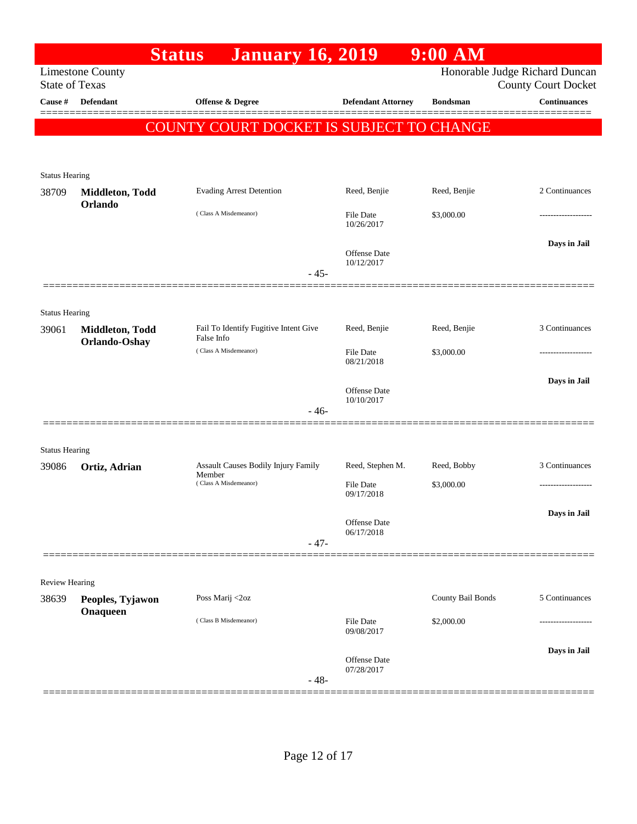|                                  |                              | <b>Status</b><br><b>January 16, 2019</b>        |                                   | $9:00$ AM         |                                                   |
|----------------------------------|------------------------------|-------------------------------------------------|-----------------------------------|-------------------|---------------------------------------------------|
|                                  | <b>Limestone County</b>      |                                                 |                                   |                   | Honorable Judge Richard Duncan                    |
| <b>State of Texas</b><br>Cause # | Defendant                    | Offense & Degree                                | <b>Defendant Attorney</b>         | <b>Bondsman</b>   | <b>County Court Docket</b><br><b>Continuances</b> |
|                                  |                              |                                                 |                                   |                   |                                                   |
|                                  |                              | <b>COUNTY COURT DOCKET IS SUBJECT TO CHANGE</b> |                                   |                   |                                                   |
|                                  |                              |                                                 |                                   |                   |                                                   |
| <b>Status Hearing</b>            |                              |                                                 |                                   |                   |                                                   |
| 38709                            | Middleton, Todd              | <b>Evading Arrest Detention</b>                 | Reed, Benjie                      | Reed, Benjie      | 2 Continuances                                    |
|                                  | Orlando                      | (Class A Misdemeanor)                           | <b>File Date</b>                  | \$3,000.00        |                                                   |
|                                  |                              |                                                 | 10/26/2017                        |                   |                                                   |
|                                  |                              |                                                 | Offense Date                      |                   | Days in Jail                                      |
|                                  |                              | $-45-$                                          | 10/12/2017                        |                   |                                                   |
|                                  |                              |                                                 |                                   |                   |                                                   |
|                                  |                              |                                                 |                                   |                   |                                                   |
| <b>Status Hearing</b><br>39061   | Middleton, Todd              | Fail To Identify Fugitive Intent Give           | Reed, Benjie                      | Reed, Benjie      | 3 Continuances                                    |
|                                  | Orlando-Oshay                | False Info                                      |                                   |                   |                                                   |
|                                  |                              | (Class A Misdemeanor)                           | File Date<br>08/21/2018           | \$3,000.00        |                                                   |
|                                  |                              |                                                 |                                   |                   | Days in Jail                                      |
|                                  |                              |                                                 | <b>Offense Date</b><br>10/10/2017 |                   |                                                   |
|                                  |                              | $-46-$                                          |                                   |                   |                                                   |
|                                  |                              |                                                 |                                   |                   |                                                   |
| <b>Status Hearing</b>            |                              |                                                 |                                   |                   |                                                   |
| 39086                            | Ortiz, Adrian                | Assault Causes Bodily Injury Family<br>Member   | Reed, Stephen M.                  | Reed, Bobby       | 3 Continuances                                    |
|                                  |                              | (Class A Misdemeanor)                           | <b>File Date</b><br>09/17/2018    | \$3,000.00        |                                                   |
|                                  |                              |                                                 |                                   |                   | Days in Jail                                      |
|                                  |                              |                                                 | Offense Date<br>06/17/2018        |                   |                                                   |
|                                  |                              | $-47-$                                          |                                   |                   |                                                   |
|                                  |                              |                                                 |                                   |                   |                                                   |
| <b>Review Hearing</b>            |                              |                                                 |                                   |                   |                                                   |
| 38639                            | Peoples, Tyjawon<br>Onaqueen | Poss Marij <2oz                                 |                                   | County Bail Bonds | 5 Continuances                                    |
|                                  |                              | (Class B Misdemeanor)                           | <b>File Date</b>                  | \$2,000.00        |                                                   |
|                                  |                              |                                                 | 09/08/2017                        |                   |                                                   |
|                                  |                              |                                                 | Offense Date                      |                   | Days in Jail                                      |
|                                  |                              | $-48-$                                          | 07/28/2017                        |                   |                                                   |
|                                  |                              |                                                 |                                   |                   |                                                   |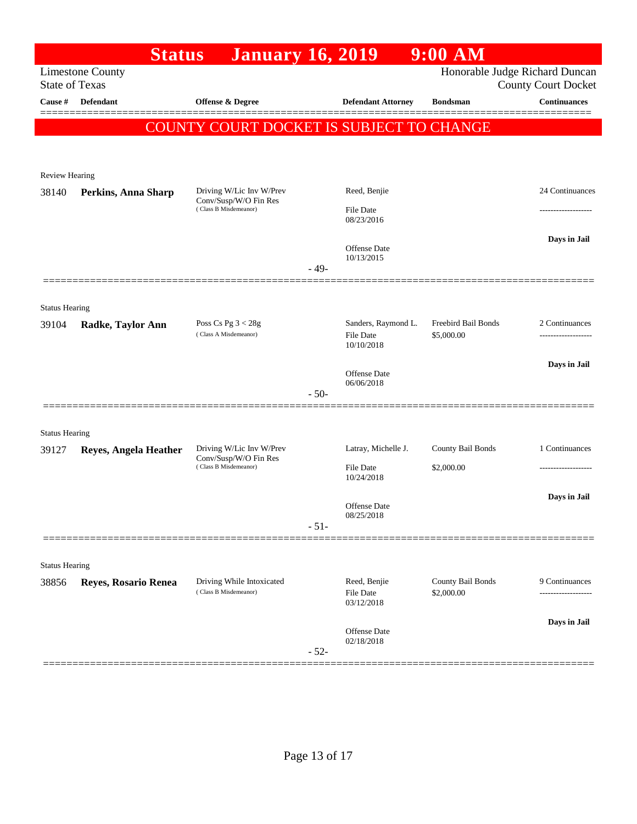|                                                  | <b>Status</b>         | <b>January 16, 2019</b>                                                    |        |                                         | $9:00$ AM                         |                                                              |
|--------------------------------------------------|-----------------------|----------------------------------------------------------------------------|--------|-----------------------------------------|-----------------------------------|--------------------------------------------------------------|
| <b>Limestone County</b><br><b>State of Texas</b> |                       |                                                                            |        |                                         |                                   | Honorable Judge Richard Duncan<br><b>County Court Docket</b> |
| Cause #                                          | <b>Defendant</b>      | <b>Offense &amp; Degree</b>                                                |        | <b>Defendant Attorney</b>               | <b>Bondsman</b>                   | <b>Continuances</b>                                          |
|                                                  |                       | COUNTY COURT DOCKET IS SUBJECT TO CHANGE                                   |        |                                         |                                   |                                                              |
|                                                  |                       |                                                                            |        |                                         |                                   |                                                              |
| <b>Review Hearing</b>                            |                       |                                                                            |        |                                         |                                   |                                                              |
| 38140                                            | Perkins, Anna Sharp   | Driving W/Lic Inv W/Prev                                                   |        | Reed, Benjie                            |                                   | 24 Continuances                                              |
|                                                  |                       | Conv/Susp/W/O Fin Res<br>(Class B Misdemeanor)                             |        | <b>File Date</b><br>08/23/2016          |                                   |                                                              |
|                                                  |                       |                                                                            | $-49-$ | Offense Date<br>10/13/2015              |                                   | Days in Jail                                                 |
|                                                  |                       |                                                                            |        |                                         |                                   |                                                              |
| <b>Status Hearing</b>                            |                       |                                                                            |        |                                         |                                   |                                                              |
| 39104                                            | Radke, Taylor Ann     | Poss Cs Pg $3 < 28g$<br>(Class A Misdemeanor)                              |        | Sanders, Raymond L.<br><b>File Date</b> | Freebird Bail Bonds<br>\$5,000.00 | 2 Continuances                                               |
|                                                  |                       |                                                                            |        | 10/10/2018                              |                                   |                                                              |
|                                                  |                       |                                                                            |        | <b>Offense Date</b><br>06/06/2018       |                                   | Days in Jail                                                 |
|                                                  |                       |                                                                            | $-50-$ |                                         |                                   |                                                              |
| <b>Status Hearing</b>                            |                       |                                                                            |        |                                         |                                   |                                                              |
| 39127                                            | Reyes, Angela Heather | Driving W/Lic Inv W/Prev<br>Conv/Susp/W/O Fin Res<br>(Class B Misdemeanor) |        | Latray, Michelle J.                     | County Bail Bonds                 | 1 Continuances                                               |
|                                                  |                       |                                                                            |        | <b>File Date</b><br>10/24/2018          | \$2,000.00                        | ------------------                                           |
|                                                  |                       |                                                                            |        |                                         |                                   | Days in Jail                                                 |
|                                                  |                       |                                                                            |        | Offense Date<br>08/25/2018              |                                   |                                                              |
|                                                  |                       |                                                                            | $-51-$ |                                         |                                   |                                                              |
| <b>Status Hearing</b>                            |                       |                                                                            |        |                                         |                                   |                                                              |
| 38856                                            | Reyes, Rosario Renea  | Driving While Intoxicated                                                  |        | Reed, Benjie                            | County Bail Bonds                 | 9 Continuances                                               |
|                                                  |                       | (Class B Misdemeanor)                                                      |        | File Date<br>03/12/2018                 | \$2,000.00                        |                                                              |
|                                                  |                       |                                                                            |        | Offense Date<br>02/18/2018              |                                   | Days in Jail                                                 |
|                                                  |                       |                                                                            | $-52-$ |                                         |                                   |                                                              |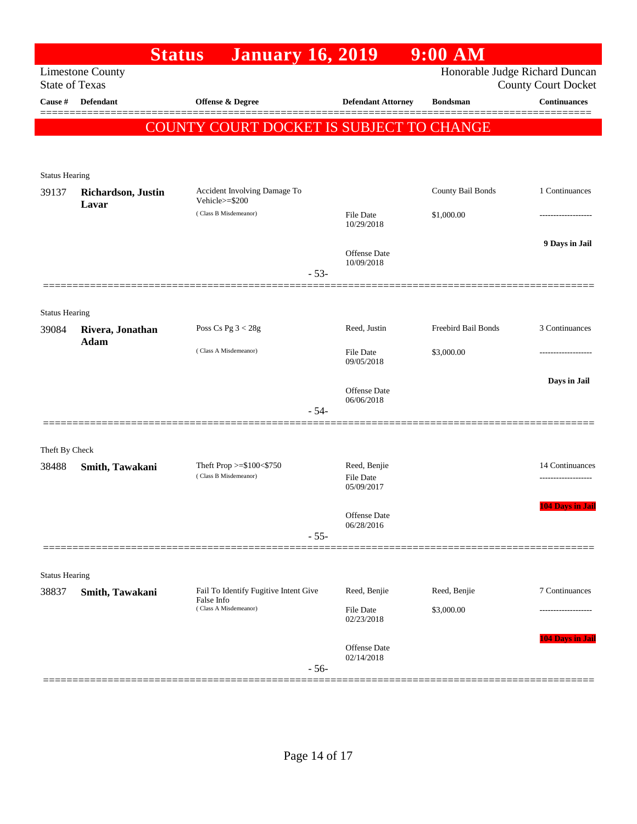|                       | <b>Status</b>               | <b>January 16, 2019</b>                           |                                                | $9:00$ AM           |                                                              |
|-----------------------|-----------------------------|---------------------------------------------------|------------------------------------------------|---------------------|--------------------------------------------------------------|
| <b>State of Texas</b> | <b>Limestone County</b>     |                                                   |                                                |                     | Honorable Judge Richard Duncan<br><b>County Court Docket</b> |
| Cause #               | <b>Defendant</b>            | Offense & Degree                                  | <b>Defendant Attorney</b>                      | <b>Bondsman</b>     | <b>Continuances</b>                                          |
|                       |                             | COUNTY COURT DOCKET IS SUBJECT TO CHANGE          |                                                |                     |                                                              |
|                       |                             |                                                   |                                                |                     |                                                              |
| <b>Status Hearing</b> |                             |                                                   |                                                |                     |                                                              |
| 39137                 | Richardson, Justin<br>Lavar | Accident Involving Damage To<br>Vehicle>=\$200    |                                                | County Bail Bonds   | 1 Continuances                                               |
|                       |                             | (Class B Misdemeanor)                             | <b>File Date</b><br>10/29/2018                 | \$1,000.00          |                                                              |
|                       |                             | $-53-$                                            | Offense Date<br>10/09/2018                     |                     | 9 Days in Jail                                               |
|                       |                             |                                                   |                                                |                     |                                                              |
| <b>Status Hearing</b> |                             |                                                   |                                                |                     |                                                              |
| 39084                 | Rivera, Jonathan<br>Adam    | Poss Cs Pg $3 < 28g$                              | Reed, Justin                                   | Freebird Bail Bonds | 3 Continuances                                               |
|                       |                             | (Class A Misdemeanor)                             | File Date<br>09/05/2018                        | \$3,000.00          |                                                              |
|                       |                             |                                                   | <b>Offense Date</b>                            |                     | Days in Jail                                                 |
|                       |                             | $-54-$                                            | 06/06/2018                                     |                     |                                                              |
|                       |                             |                                                   |                                                |                     |                                                              |
| Theft By Check        |                             |                                                   |                                                |                     |                                                              |
| 38488                 | Smith, Tawakani             | Theft Prop >=\$100<\$750<br>(Class B Misdemeanor) | Reed, Benjie<br><b>File Date</b><br>05/09/2017 |                     | 14 Continuances                                              |
|                       |                             |                                                   | Offense Date<br>06/28/2016                     |                     | <b>104 Days in Jail</b>                                      |
|                       |                             | $-55-$                                            |                                                |                     |                                                              |
| <b>Status Hearing</b> |                             |                                                   |                                                |                     |                                                              |
| 38837                 | Smith, Tawakani             | Fail To Identify Fugitive Intent Give             | Reed, Benjie                                   | Reed, Benjie        | 7 Continuances                                               |
|                       |                             | False Info<br>(Class A Misdemeanor)               | File Date<br>02/23/2018                        | \$3,000.00          |                                                              |
|                       |                             | $-56-$                                            | Offense Date<br>02/14/2018                     |                     | 104 Days in Jail                                             |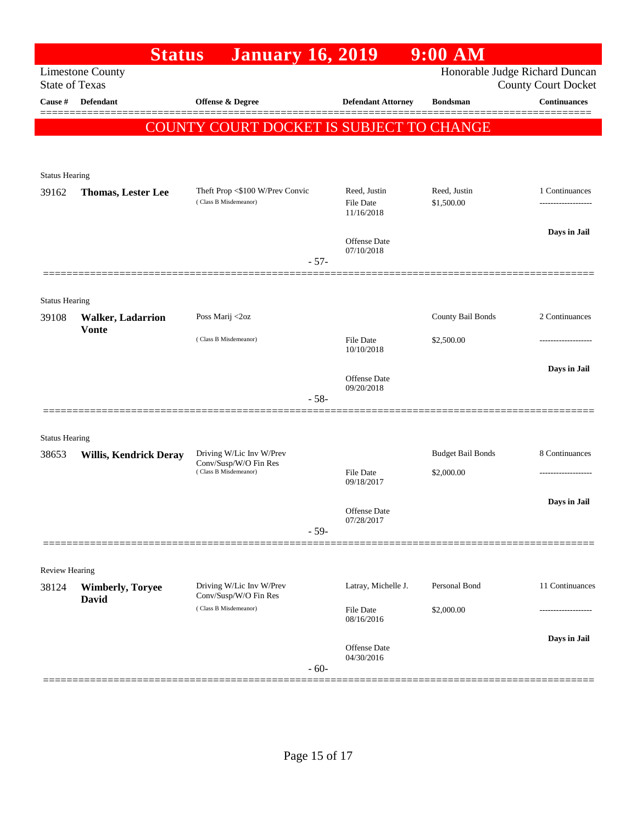|                                | <b>Status</b>                 | <b>January 16, 2019</b>                                  |                                                | $9:00$ AM                  |                                                              |
|--------------------------------|-------------------------------|----------------------------------------------------------|------------------------------------------------|----------------------------|--------------------------------------------------------------|
| <b>State of Texas</b>          | <b>Limestone County</b>       |                                                          |                                                |                            | Honorable Judge Richard Duncan<br><b>County Court Docket</b> |
| Cause #                        | <b>Defendant</b>              | Offense & Degree                                         | <b>Defendant Attorney</b>                      | <b>Bondsman</b>            | <b>Continuances</b>                                          |
|                                |                               | COUNTY COURT DOCKET IS SUBJECT TO CHANGE                 |                                                |                            |                                                              |
|                                |                               |                                                          |                                                |                            |                                                              |
|                                |                               |                                                          |                                                |                            |                                                              |
| <b>Status Hearing</b>          |                               |                                                          |                                                |                            |                                                              |
| 39162                          | <b>Thomas, Lester Lee</b>     | Theft Prop <\$100 W/Prev Convic<br>(Class B Misdemeanor) | Reed, Justin<br><b>File Date</b><br>11/16/2018 | Reed, Justin<br>\$1,500.00 | 1 Continuances                                               |
|                                |                               |                                                          | <b>Offense Date</b>                            |                            | Days in Jail                                                 |
|                                |                               | $-57-$                                                   | 07/10/2018                                     |                            |                                                              |
|                                |                               |                                                          |                                                |                            |                                                              |
| <b>Status Hearing</b>          |                               |                                                          |                                                |                            |                                                              |
| 39108                          | <b>Walker, Ladarrion</b>      | Poss Marij <2oz                                          |                                                | County Bail Bonds          | 2 Continuances                                               |
|                                | <b>Vonte</b>                  | (Class B Misdemeanor)                                    | <b>File Date</b><br>10/10/2018                 | \$2,500.00                 |                                                              |
|                                |                               |                                                          |                                                |                            | Days in Jail                                                 |
|                                |                               |                                                          | <b>Offense Date</b><br>09/20/2018              |                            |                                                              |
|                                |                               | $-58-$                                                   |                                                |                            |                                                              |
|                                |                               |                                                          |                                                |                            |                                                              |
| <b>Status Hearing</b><br>38653 | <b>Willis, Kendrick Deray</b> | Driving W/Lic Inv W/Prev                                 |                                                | <b>Budget Bail Bonds</b>   | 8 Continuances                                               |
|                                |                               | Conv/Susp/W/O Fin Res<br>(Class B Misdemeanor)           | <b>File Date</b>                               | \$2,000.00                 |                                                              |
|                                |                               |                                                          | 09/18/2017                                     |                            |                                                              |
|                                |                               |                                                          | Offense Date                                   |                            | Days in Jail                                                 |
|                                |                               | $-59-$                                                   | 07/28/2017                                     |                            |                                                              |
|                                |                               |                                                          |                                                |                            |                                                              |
| Review Hearing                 |                               |                                                          |                                                |                            |                                                              |
| 38124                          | <b>Wimberly, Toryee</b>       | Driving W/Lic Inv W/Prev<br>Conv/Susp/W/O Fin Res        | Latray, Michelle J.                            | Personal Bond              | 11 Continuances                                              |
|                                | <b>David</b>                  | (Class B Misdemeanor)                                    | File Date<br>08/16/2016                        | \$2,000.00                 | ---------------                                              |
|                                |                               |                                                          |                                                |                            | Days in Jail                                                 |
|                                |                               | $-60-$                                                   | Offense Date<br>04/30/2016                     |                            |                                                              |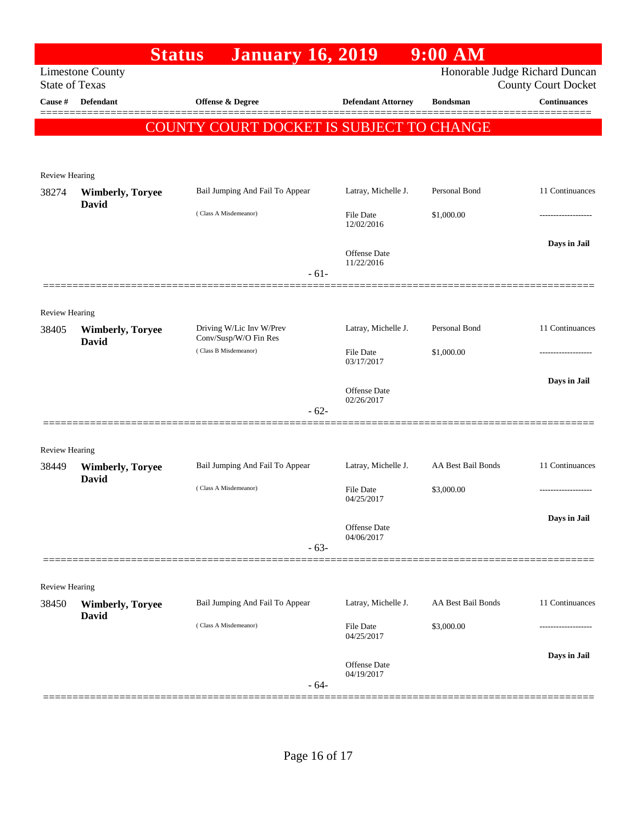|                       | <b>Status</b>                           | <b>January 16, 2019</b>                           |                                   | $9:00$ AM          |                                                              |
|-----------------------|-----------------------------------------|---------------------------------------------------|-----------------------------------|--------------------|--------------------------------------------------------------|
| <b>State of Texas</b> | <b>Limestone County</b>                 |                                                   |                                   |                    | Honorable Judge Richard Duncan<br><b>County Court Docket</b> |
| Cause #               | <b>Defendant</b>                        | Offense & Degree                                  | <b>Defendant Attorney</b>         | <b>Bondsman</b>    | Continuances                                                 |
|                       |                                         | COUNTY COURT DOCKET IS SUBJECT TO CHANGE          |                                   |                    |                                                              |
|                       |                                         |                                                   |                                   |                    |                                                              |
| Review Hearing        |                                         |                                                   |                                   |                    |                                                              |
| 38274                 | <b>Wimberly, Toryee</b>                 | Bail Jumping And Fail To Appear                   | Latray, Michelle J.               | Personal Bond      | 11 Continuances                                              |
|                       | <b>David</b>                            | (Class A Misdemeanor)                             | <b>File Date</b><br>12/02/2016    | \$1,000.00         |                                                              |
|                       |                                         |                                                   | Offense Date<br>11/22/2016        |                    | Days in Jail                                                 |
|                       |                                         | $-61-$                                            |                                   |                    |                                                              |
| Review Hearing        |                                         |                                                   |                                   |                    |                                                              |
| 38405                 | <b>Wimberly, Toryee</b><br><b>David</b> | Driving W/Lic Inv W/Prev<br>Conv/Susp/W/O Fin Res | Latray, Michelle J.               | Personal Bond      | 11 Continuances                                              |
|                       |                                         | (Class B Misdemeanor)                             | <b>File Date</b><br>03/17/2017    | \$1,000.00         |                                                              |
|                       |                                         |                                                   | Offense Date<br>02/26/2017        |                    | Days in Jail                                                 |
|                       |                                         | $-62-$                                            |                                   |                    |                                                              |
| <b>Review Hearing</b> |                                         |                                                   |                                   |                    |                                                              |
| 38449                 | <b>Wimberly, Toryee</b><br>David        | Bail Jumping And Fail To Appear                   | Latray, Michelle J.               | AA Best Bail Bonds | 11 Continuances                                              |
|                       |                                         | (Class A Misdemeanor)                             | <b>File Date</b><br>04/25/2017    | \$3,000.00         | -----------------                                            |
|                       |                                         |                                                   | Offense Date                      |                    | Days in Jail                                                 |
|                       |                                         | $-63-$                                            | 04/06/2017                        |                    |                                                              |
|                       |                                         |                                                   |                                   |                    |                                                              |
| Review Hearing        |                                         |                                                   |                                   |                    |                                                              |
| 38450                 | <b>Wimberly, Toryee</b><br><b>David</b> | Bail Jumping And Fail To Appear                   | Latray, Michelle J.               | AA Best Bail Bonds | 11 Continuances                                              |
|                       |                                         | (Class A Misdemeanor)                             | <b>File Date</b><br>04/25/2017    | \$3,000.00         |                                                              |
|                       |                                         | $-64-$                                            | <b>Offense Date</b><br>04/19/2017 |                    | Days in Jail                                                 |